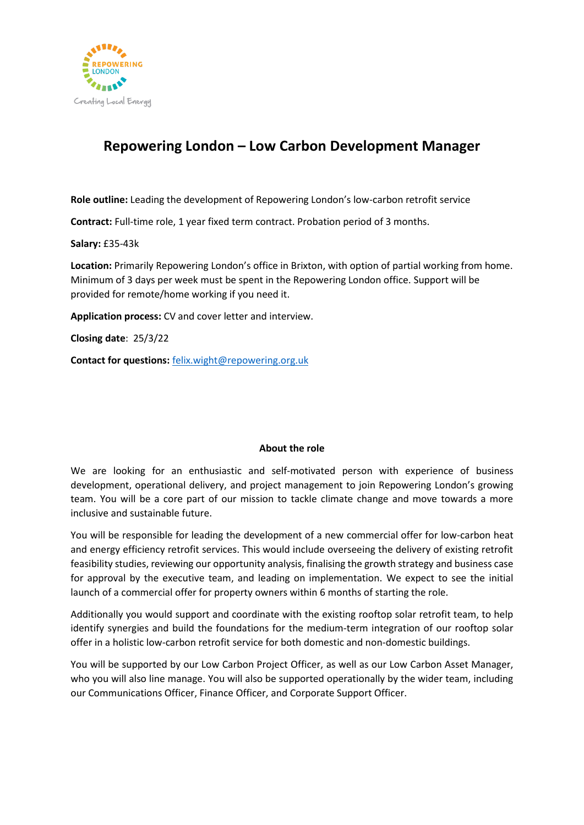

# **Repowering London – Low Carbon Development Manager**

**Role outline:** Leading the development of Repowering London's low-carbon retrofit service

**Contract:** Full-time role, 1 year fixed term contract. Probation period of 3 months.

**Salary:** £35-43k

**Location:** Primarily Repowering London's office in Brixton, with option of partial working from home. Minimum of 3 days per week must be spent in the Repowering London office. Support will be provided for remote/home working if you need it.

**Application process:** CV and cover letter and interview.

**Closing date**: 25/3/22

**Contact for questions:** [felix.wight@repowering.org.uk](mailto:felix.wight@repowering.org.uk)

#### **About the role**

We are looking for an enthusiastic and self-motivated person with experience of business development, operational delivery, and project management to join Repowering London's growing team. You will be a core part of our mission to tackle climate change and move towards a more inclusive and sustainable future.

You will be responsible for leading the development of a new commercial offer for low-carbon heat and energy efficiency retrofit services. This would include overseeing the delivery of existing retrofit feasibility studies, reviewing our opportunity analysis, finalising the growth strategy and business case for approval by the executive team, and leading on implementation. We expect to see the initial launch of a commercial offer for property owners within 6 months of starting the role.

Additionally you would support and coordinate with the existing rooftop solar retrofit team, to help identify synergies and build the foundations for the medium-term integration of our rooftop solar offer in a holistic low-carbon retrofit service for both domestic and non-domestic buildings.

You will be supported by our Low Carbon Project Officer, as well as our Low Carbon Asset Manager, who you will also line manage. You will also be supported operationally by the wider team, including our Communications Officer, Finance Officer, and Corporate Support Officer.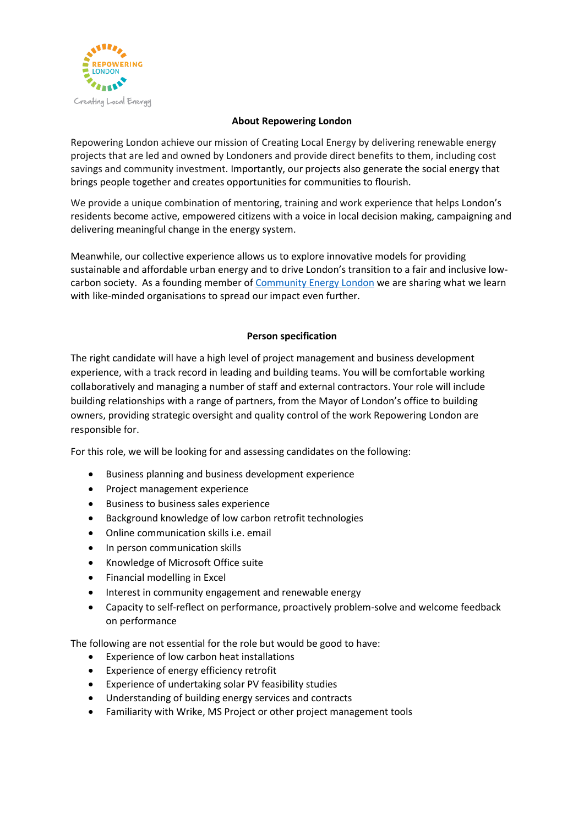

### **About Repowering London**

Repowering London achieve our mission of Creating Local Energy by delivering renewable energy projects that are led and owned by Londoners and provide direct benefits to them, including cost savings and community investment. Importantly, our projects also generate the social energy that brings people together and creates opportunities for communities to flourish.

We provide a unique combination of mentoring, training and work experience that helps London's residents become active, empowered citizens with a voice in local decision making, campaigning and delivering meaningful change in the energy system.

Meanwhile, our collective experience allows us to explore innovative models for providing sustainable and affordable urban energy and to drive London's transition to a fair and inclusive lowcarbon society. As a founding member o[f Community Energy London](https://www.communityenergy.london/) we are sharing what we learn with like-minded organisations to spread our impact even further.

### **Person specification**

The right candidate will have a high level of project management and business development experience, with a track record in leading and building teams. You will be comfortable working collaboratively and managing a number of staff and external contractors. Your role will include building relationships with a range of partners, from the Mayor of London's office to building owners, providing strategic oversight and quality control of the work Repowering London are responsible for.

For this role, we will be looking for and assessing candidates on the following:

- Business planning and business development experience
- Project management experience
- Business to business sales experience
- Background knowledge of low carbon retrofit technologies
- Online communication skills i.e. email
- In person communication skills
- Knowledge of Microsoft Office suite
- Financial modelling in Excel
- Interest in community engagement and renewable energy
- Capacity to self-reflect on performance, proactively problem-solve and welcome feedback on performance

The following are not essential for the role but would be good to have:

- Experience of low carbon heat installations
- Experience of energy efficiency retrofit
- Experience of undertaking solar PV feasibility studies
- Understanding of building energy services and contracts
- Familiarity with Wrike, MS Project or other project management tools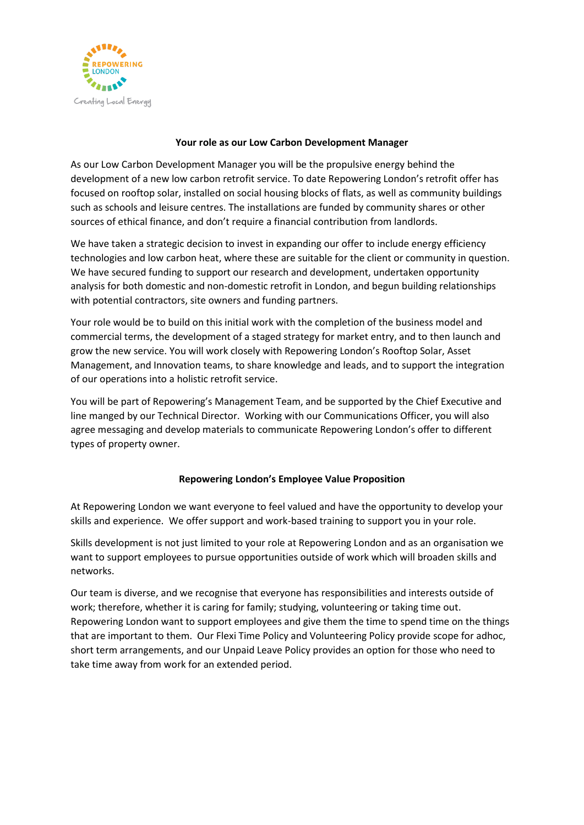

#### **Your role as our Low Carbon Development Manager**

As our Low Carbon Development Manager you will be the propulsive energy behind the development of a new low carbon retrofit service. To date Repowering London's retrofit offer has focused on rooftop solar, installed on social housing blocks of flats, as well as community buildings such as schools and leisure centres. The installations are funded by community shares or other sources of ethical finance, and don't require a financial contribution from landlords.

We have taken a strategic decision to invest in expanding our offer to include energy efficiency technologies and low carbon heat, where these are suitable for the client or community in question. We have secured funding to support our research and development, undertaken opportunity analysis for both domestic and non-domestic retrofit in London, and begun building relationships with potential contractors, site owners and funding partners.

Your role would be to build on this initial work with the completion of the business model and commercial terms, the development of a staged strategy for market entry, and to then launch and grow the new service. You will work closely with Repowering London's Rooftop Solar, Asset Management, and Innovation teams, to share knowledge and leads, and to support the integration of our operations into a holistic retrofit service.

You will be part of Repowering's Management Team, and be supported by the Chief Executive and line manged by our Technical Director. Working with our Communications Officer, you will also agree messaging and develop materials to communicate Repowering London's offer to different types of property owner.

## **Repowering London's Employee Value Proposition**

At Repowering London we want everyone to feel valued and have the opportunity to develop your skills and experience. We offer support and work-based training to support you in your role.

Skills development is not just limited to your role at Repowering London and as an organisation we want to support employees to pursue opportunities outside of work which will broaden skills and networks.

Our team is diverse, and we recognise that everyone has responsibilities and interests outside of work; therefore, whether it is caring for family; studying, volunteering or taking time out. Repowering London want to support employees and give them the time to spend time on the things that are important to them. Our Flexi Time Policy and Volunteering Policy provide scope for adhoc, short term arrangements, and our Unpaid Leave Policy provides an option for those who need to take time away from work for an extended period.